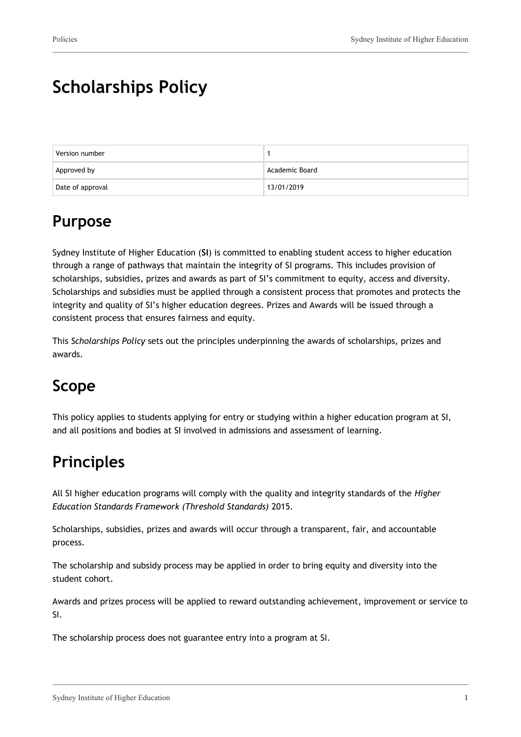# **Scholarships Policy**

| Version number   |                |
|------------------|----------------|
| Approved by      | Academic Board |
| Date of approval | 13/01/2019     |

## **Purpose**

Sydney Institute of Higher Education (**SI**) is committed to enabling student access to higher education through a range of pathways that maintain the integrity of SI programs. This includes provision of scholarships, subsidies, prizes and awards as part of SI's commitment to equity, access and diversity. Scholarships and subsidies must be applied through a consistent process that promotes and protects the integrity and quality of SI's higher education degrees. Prizes and Awards will be issued through a consistent process that ensures fairness and equity.

This *Scholarships Policy* sets out the principles underpinning the awards of scholarships, prizes and awards.

## **Scope**

This policy applies to students applying for entry or studying within a higher education program at SI, and all positions and bodies at SI involved in admissions and assessment of learning.

# **Principles**

All SI higher education programs will comply with the quality and integrity standards of the *Higher Education Standards Framework (Threshold Standards)* 2015.

Scholarships, subsidies, prizes and awards will occur through a transparent, fair, and accountable process.

The scholarship and subsidy process may be applied in order to bring equity and diversity into the student cohort.

Awards and prizes process will be applied to reward outstanding achievement, improvement or service to SI.

The scholarship process does not guarantee entry into a program at SI.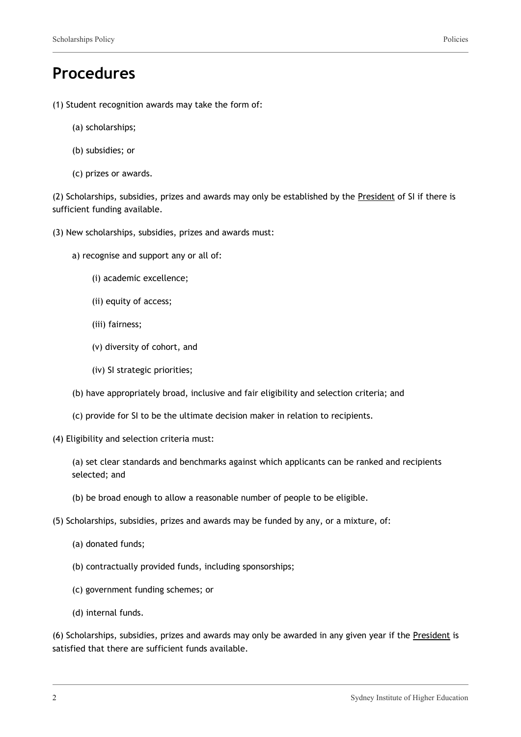## **Procedures**

- (1) Student recognition awards may take the form of:
	- (a) scholarships;
	- (b) subsidies; or
	- (c) prizes or awards.

(2) Scholarships, subsidies, prizes and awards may only be established by the President of SI if there is sufficient funding available.

- (3) New scholarships, subsidies, prizes and awards must:
	- a) recognise and support any or all of:
		- (i) academic excellence;
		- (ii) equity of access;
		- (iii) fairness;
		- (v) diversity of cohort, and
		- (iv) SI strategic priorities;
	- (b) have appropriately broad, inclusive and fair eligibility and selection criteria; and
	- (c) provide for SI to be the ultimate decision maker in relation to recipients.
- (4) Eligibility and selection criteria must:

(a) set clear standards and benchmarks against which applicants can be ranked and recipients selected; and

- (b) be broad enough to allow a reasonable number of people to be eligible.
- (5) Scholarships, subsidies, prizes and awards may be funded by any, or a mixture, of:
	- (a) donated funds;
	- (b) contractually provided funds, including sponsorships;
	- (c) government funding schemes; or
	- (d) internal funds.

(6) Scholarships, subsidies, prizes and awards may only be awarded in any given year if the President is satisfied that there are sufficient funds available.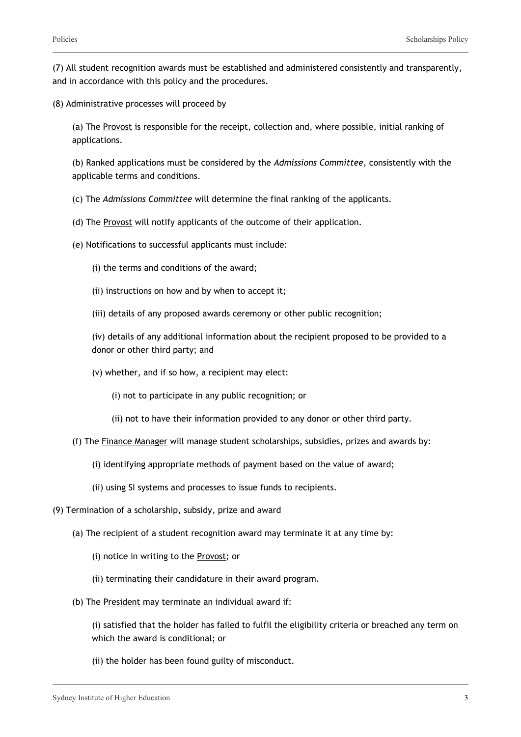(7) All student recognition awards must be established and administered consistently and transparently, and in accordance with this policy and the procedures.

(8) Administrative processes will proceed by

(a) The Provost is responsible for the receipt, collection and, where possible, initial ranking of applications.

(b) Ranked applications must be considered by the *Admissions Committee*, consistently with the applicable terms and conditions.

(c) The *Admissions Committee* will determine the final ranking of the applicants.

- (d) The Provost will notify applicants of the outcome of their application.
- (e) Notifications to successful applicants must include:
	- (i) the terms and conditions of the award;
	- (ii) instructions on how and by when to accept it;
	- (iii) details of any proposed awards ceremony or other public recognition;

(iv) details of any additional information about the recipient proposed to be provided to a donor or other third party; and

(v) whether, and if so how, a recipient may elect:

(i) not to participate in any public recognition; or

- (ii) not to have their information provided to any donor or other third party.
- (f) The Finance Manager will manage student scholarships, subsidies, prizes and awards by:
	- (i) identifying appropriate methods of payment based on the value of award;
	- (ii) using SI systems and processes to issue funds to recipients.
- (9) Termination of a scholarship, subsidy, prize and award
	- (a) The recipient of a student recognition award may terminate it at any time by:
		- (i) notice in writing to the Provost; or
		- (ii) terminating their candidature in their award program.
	- (b) The President may terminate an individual award if:

(i) satisfied that the holder has failed to fulfil the eligibility criteria or breached any term on which the award is conditional; or

(ii) the holder has been found guilty of misconduct.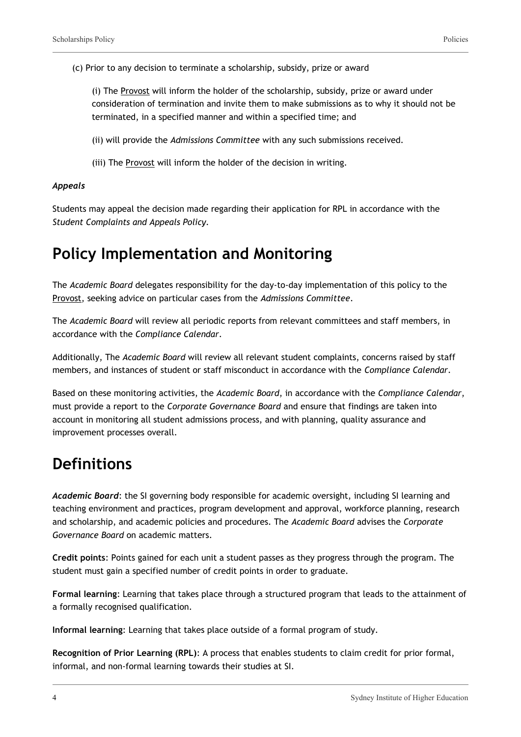(c) Prior to any decision to terminate a scholarship, subsidy, prize or award

(i) The Provost will inform the holder of the scholarship, subsidy, prize or award under consideration of termination and invite them to make submissions as to why it should not be terminated, in a specified manner and within a specified time; and

(ii) will provide the *Admissions Committee* with any such submissions received.

(iii) The Provost will inform the holder of the decision in writing.

#### *Appeals*

Students may appeal the decision made regarding their application for RPL in accordance with the *Student Complaints and Appeals Policy.*

#### **Policy Implementation and Monitoring**

The *Academic Board* delegates responsibility for the day-to-day implementation of this policy to the Provost, seeking advice on particular cases from the *Admissions Committee*.

The *Academic Board* will review all periodic reports from relevant committees and staff members, in accordance with the *Compliance Calendar*.

Additionally, The *Academic Board* will review all relevant student complaints, concerns raised by staff members, and instances of student or staff misconduct in accordance with the *Compliance Calendar*.

Based on these monitoring activities, the *Academic Board*, in accordance with the *Compliance Calendar*, must provide a report to the *Corporate Governance Board* and ensure that findings are taken into account in monitoring all student admissions process, and with planning, quality assurance and improvement processes overall.

## **Definitions**

*Academic Board*: the SI governing body responsible for academic oversight, including SI learning and teaching environment and practices, program development and approval, workforce planning, research and scholarship, and academic policies and procedures. The *Academic Board* advises the *Corporate Governance Board* on academic matters.

**Credit points**: Points gained for each unit a student passes as they progress through the program. The student must gain a specified number of credit points in order to graduate.

**Formal learning**: Learning that takes place through a structured program that leads to the attainment of a formally recognised qualification.

**Informal learning**: Learning that takes place outside of a formal program of study.

**Recognition of Prior Learning (RPL)**: A process that enables students to claim credit for prior formal, informal, and non-formal learning towards their studies at SI.